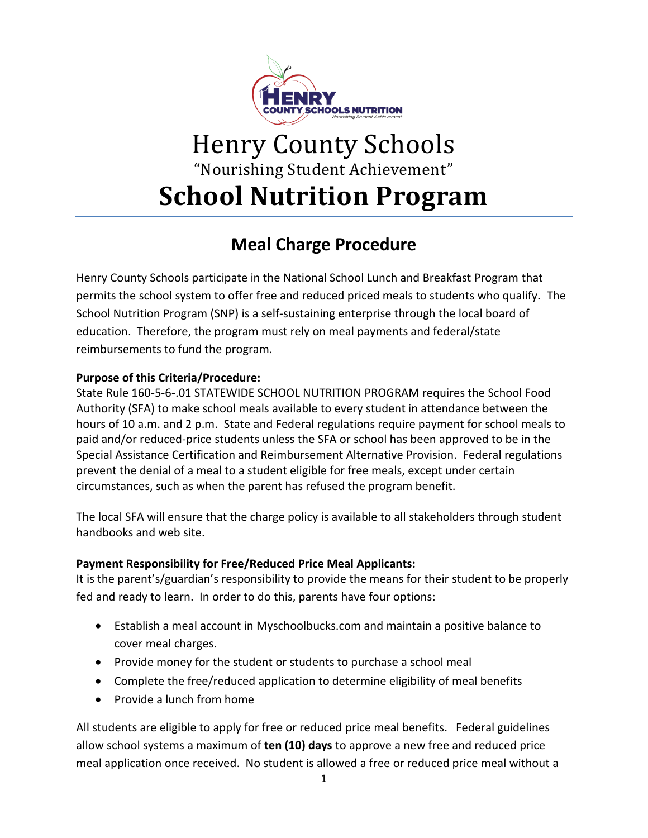

# Henry County Schools "Nourishing Student Achievement" **School Nutrition Program**

# **Meal Charge Procedure**

Henry County Schools participate in the National School Lunch and Breakfast Program that permits the school system to offer free and reduced priced meals to students who qualify. The School Nutrition Program (SNP) is a self-sustaining enterprise through the local board of education. Therefore, the program must rely on meal payments and federal/state reimbursements to fund the program.

### **Purpose of this Criteria/Procedure:**

State Rule 160-5-6-.01 STATEWIDE SCHOOL NUTRITION PROGRAM requires the School Food Authority (SFA) to make school meals available to every student in attendance between the hours of 10 a.m. and 2 p.m. State and Federal regulations require payment for school meals to paid and/or reduced-price students unless the SFA or school has been approved to be in the Special Assistance Certification and Reimbursement Alternative Provision. Federal regulations prevent the denial of a meal to a student eligible for free meals, except under certain circumstances, such as when the parent has refused the program benefit.

The local SFA will ensure that the charge policy is available to all stakeholders through student handbooks and web site.

## **Payment Responsibility for Free/Reduced Price Meal Applicants:**

It is the parent's/guardian's responsibility to provide the means for their student to be properly fed and ready to learn. In order to do this, parents have four options:

- Establish a meal account in Myschoolbucks.com and maintain a positive balance to cover meal charges.
- Provide money for the student or students to purchase a school meal
- Complete the free/reduced application to determine eligibility of meal benefits
- Provide a lunch from home

All students are eligible to apply for free or reduced price meal benefits. Federal guidelines allow school systems a maximum of **ten (10) days** to approve a new free and reduced price meal application once received. No student is allowed a free or reduced price meal without a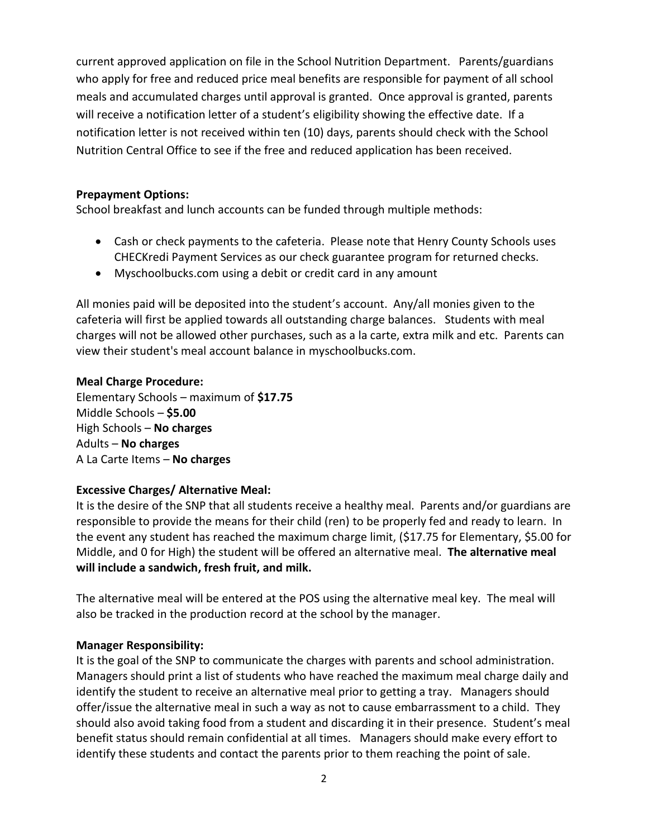current approved application on file in the School Nutrition Department. Parents/guardians who apply for free and reduced price meal benefits are responsible for payment of all school meals and accumulated charges until approval is granted. Once approval is granted, parents will receive a notification letter of a student's eligibility showing the effective date. If a notification letter is not received within ten (10) days, parents should check with the School Nutrition Central Office to see if the free and reduced application has been received.

#### **Prepayment Options:**

School breakfast and lunch accounts can be funded through multiple methods:

- Cash or check payments to the cafeteria. Please note that Henry County Schools uses CHECKredi Payment Services as our check guarantee program for returned checks.
- Myschoolbucks.com using a debit or credit card in any amount

All monies paid will be deposited into the student's account. Any/all monies given to the cafeteria will first be applied towards all outstanding charge balances. Students with meal charges will not be allowed other purchases, such as a la carte, extra milk and etc. Parents can view their student's meal account balance in myschoolbucks.com.

#### **Meal Charge Procedure:**

Elementary Schools – maximum of **\$17.75** Middle Schools – **\$5.00** High Schools – **No charges** Adults – **No charges** A La Carte Items – **No charges**

#### **Excessive Charges/ Alternative Meal:**

It is the desire of the SNP that all students receive a healthy meal. Parents and/or guardians are responsible to provide the means for their child (ren) to be properly fed and ready to learn. In the event any student has reached the maximum charge limit, (\$17.75 for Elementary, \$5.00 for Middle, and 0 for High) the student will be offered an alternative meal. **The alternative meal will include a sandwich, fresh fruit, and milk.**

The alternative meal will be entered at the POS using the alternative meal key. The meal will also be tracked in the production record at the school by the manager.

#### **Manager Responsibility:**

It is the goal of the SNP to communicate the charges with parents and school administration. Managers should print a list of students who have reached the maximum meal charge daily and identify the student to receive an alternative meal prior to getting a tray. Managers should offer/issue the alternative meal in such a way as not to cause embarrassment to a child. They should also avoid taking food from a student and discarding it in their presence. Student's meal benefit status should remain confidential at all times. Managers should make every effort to identify these students and contact the parents prior to them reaching the point of sale.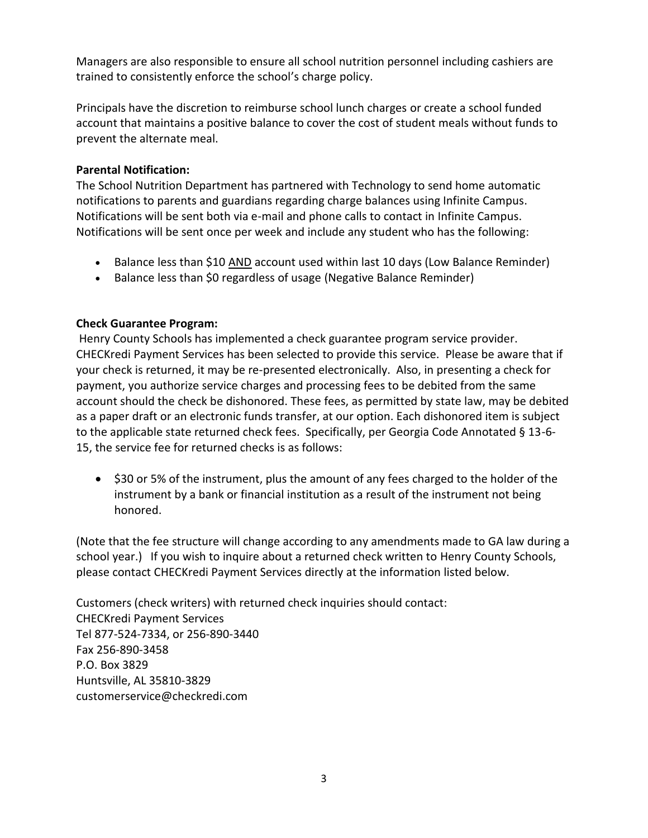Managers are also responsible to ensure all school nutrition personnel including cashiers are trained to consistently enforce the school's charge policy.

Principals have the discretion to reimburse school lunch charges or create a school funded account that maintains a positive balance to cover the cost of student meals without funds to prevent the alternate meal.

#### **Parental Notification:**

The School Nutrition Department has partnered with Technology to send home automatic notifications to parents and guardians regarding charge balances using Infinite Campus. Notifications will be sent both via e-mail and phone calls to contact in Infinite Campus. Notifications will be sent once per week and include any student who has the following:

- Balance less than \$10 AND account used within last 10 days (Low Balance Reminder)
- Balance less than \$0 regardless of usage (Negative Balance Reminder)

#### **Check Guarantee Program:**

Henry County Schools has implemented a check guarantee program service provider. CHECKredi Payment Services has been selected to provide this service. Please be aware that if your check is returned, it may be re-presented electronically. Also, in presenting a check for payment, you authorize service charges and processing fees to be debited from the same account should the check be dishonored. These fees, as permitted by state law, may be debited as a paper draft or an electronic funds transfer, at our option. Each dishonored item is subject to the applicable state returned check fees. Specifically, per Georgia Code Annotated § 13-6- 15, the service fee for returned checks is as follows:

• \$30 or 5% of the instrument, plus the amount of any fees charged to the holder of the instrument by a bank or financial institution as a result of the instrument not being honored.

(Note that the fee structure will change according to any amendments made to GA law during a school year.) If you wish to inquire about a returned check written to Henry County Schools, please contact CHECKredi Payment Services directly at the information listed below.

Customers (check writers) with returned check inquiries should contact: CHECKredi Payment Services Tel 877-524-7334, or 256-890-3440 Fax 256-890-3458 P.O. Box 3829 Huntsville, AL 35810-3829 customerservice@checkredi.com